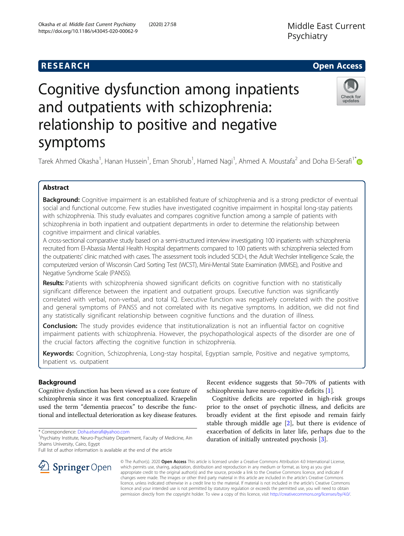## **RESEARCH CHE Open Access**

Check for updates

# Cognitive dysfunction among inpatients and outpatients with schizophrenia: relationship to positive and negative symptoms

Tarek Ahmed Okasha<sup>1</sup>, Hanan Hussein<sup>1</sup>, Eman Shorub<sup>1</sup>, Hamed Nagi<sup>1</sup>, Ahmed A. Moustafa<sup>2</sup> and Doha El-Serafi<sup>1\*</sup>

## Abstract

Background: Cognitive impairment is an established feature of schizophrenia and is a strong predictor of eventual social and functional outcome. Few studies have investigated cognitive impairment in hospital long-stay patients with schizophrenia. This study evaluates and compares cognitive function among a sample of patients with schizophrenia in both inpatient and outpatient departments in order to determine the relationship between cognitive impairment and clinical variables.

A cross-sectional comparative study based on a semi-structured interview investigating 100 inpatients with schizophrenia recruited from El-Abassia Mental Health Hospital departments compared to 100 patients with schizophrenia selected from the outpatients' clinic matched with cases. The assessment tools included SCID-I, the Adult Wechsler Intelligence Scale, the computerized version of Wisconsin Card Sorting Test (WCST), Mini-Mental State Examination (MMSE), and Positive and Negative Syndrome Scale (PANSS).

Results: Patients with schizophrenia showed significant deficits on cognitive function with no statistically significant difference between the inpatient and outpatient groups. Executive function was significantly correlated with verbal, non-verbal, and total IQ. Executive function was negatively correlated with the positive and general symptoms of PANSS and not correlated with its negative symptoms. In addition, we did not find any statistically significant relationship between cognitive functions and the duration of illness.

**Conclusion:** The study provides evidence that institutionalization is not an influential factor on cognitive impairment patients with schizophrenia. However, the psychopathological aspects of the disorder are one of the crucial factors affecting the cognitive function in schizophrenia.

Keywords: Cognition, Schizophrenia, Long-stay hospital, Egyptian sample, Positive and negative symptoms, Inpatient vs. outpatient

## Background

Cognitive dysfunction has been viewed as a core feature of schizophrenia since it was first conceptualized. Kraepelin used the term "dementia praecox" to describe the functional and intellectual deterioration as key disease features.

\* Correspondence: [Doha.elserafi@yahoo.com](mailto:Doha.elserafi@yahoo.com) <sup>1</sup>

Full list of author information is available at the end of the article

Recent evidence suggests that 50–70% of patients with schizophrenia have neuro-cognitive deficits [\[1\]](#page-5-0).

Cognitive deficits are reported in high-risk groups prior to the onset of psychotic illness, and deficits are broadly evident at the first episode and remain fairly stable through middle age [[2\]](#page-5-0), but there is evidence of exacerbation of deficits in later life, perhaps due to the duration of initially untreated psychosis [\[3](#page-5-0)].



© The Author(s). 2020 Open Access This article is licensed under a Creative Commons Attribution 4.0 International License, which permits use, sharing, adaptation, distribution and reproduction in any medium or format, as long as you give appropriate credit to the original author(s) and the source, provide a link to the Creative Commons licence, and indicate if changes were made. The images or other third party material in this article are included in the article's Creative Commons licence, unless indicated otherwise in a credit line to the material. If material is not included in the article's Creative Commons licence and your intended use is not permitted by statutory regulation or exceeds the permitted use, you will need to obtain permission directly from the copyright holder. To view a copy of this licence, visit <http://creativecommons.org/licenses/by/4.0/>.

<sup>&</sup>lt;sup>1</sup> Psychiatry Institute, Neuro-Psychiatry Department, Faculty of Medicine, Ain Shams University, Cairo, Egypt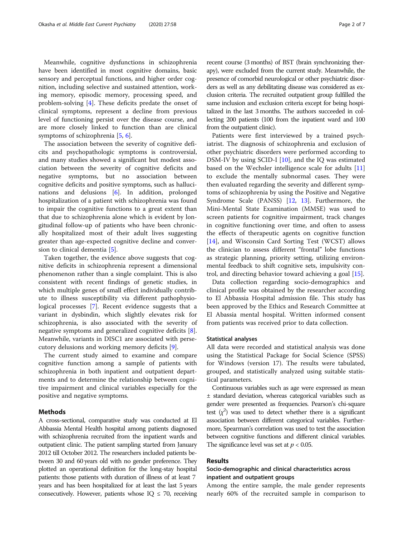Meanwhile, cognitive dysfunctions in schizophrenia have been identified in most cognitive domains, basic sensory and perceptual functions, and higher order cognition, including selective and sustained attention, working memory, episodic memory, processing speed, and problem-solving [\[4](#page-5-0)]. These deficits predate the onset of clinical symptoms, represent a decline from previous level of functioning persist over the disease course, and are more closely linked to function than are clinical symptoms of schizophrenia [[5,](#page-5-0) [6\]](#page-5-0).

The association between the severity of cognitive deficits and psychopathologic symptoms is controversial, and many studies showed a significant but modest association between the severity of cognitive deficits and negative symptoms, but no association between cognitive deficits and positive symptoms, such as hallucinations and delusions [[6\]](#page-5-0). In addition, prolonged hospitalization of a patient with schizophrenia was found to impair the cognitive functions to a great extent than that due to schizophrenia alone which is evident by longitudinal follow-up of patients who have been chronically hospitalized most of their adult lives suggesting greater than age-expected cognitive decline and conversion to clinical dementia [\[5](#page-5-0)].

Taken together, the evidence above suggests that cognitive deficits in schizophrenia represent a dimensional phenomenon rather than a single complaint. This is also consistent with recent findings of genetic studies, in which multiple genes of small effect individually contribute to illness susceptibility via different pathophysiological processes [[7\]](#page-5-0). Recent evidence suggests that a variant in dysbindin, which slightly elevates risk for schizophrenia, is also associated with the severity of negative symptoms and generalized cognitive deficits [\[8](#page-5-0)]. Meanwhile, variants in DISC1 are associated with persecutory delusions and working memory deficits [[9\]](#page-5-0).

The current study aimed to examine and compare cognitive function among a sample of patients with schizophrenia in both inpatient and outpatient departments and to determine the relationship between cognitive impairment and clinical variables especially for the positive and negative symptoms.

#### Methods

A cross-sectional, comparative study was conducted at El Abbassia Mental Health hospital among patients diagnosed with schizophrenia recruited from the inpatient wards and outpatient clinic. The patient sampling started from January 2012 till October 2012. The researchers included patients between 30 and 60 years old with no gender preference. They plotted an operational definition for the long-stay hospital patients: those patients with duration of illness of at least 7 years and has been hospitalized for at least the last 5 years consecutively. However, patients whose  $IQ \leq 70$ , receiving

recent course (3 months) of BST (brain synchronizing therapy), were excluded from the current study. Meanwhile, the presence of comorbid neurological or other psychiatric disorders as well as any debilitating disease was considered as exclusion criteria. The recruited outpatient group fulfilled the same inclusion and exclusion criteria except for being hospitalized in the last 3 months. The authors succeeded in collecting 200 patients (100 from the inpatient ward and 100 from the outpatient clinic).

Patients were first interviewed by a trained psychiatrist. The diagnosis of schizophrenia and exclusion of other psychiatric disorders were performed according to DSM-IV by using SCID-I [\[10\]](#page-5-0), and the IQ was estimated based on the Wechsler intelligence scale for adults [[11](#page-5-0)] to exclude the mentally subnormal cases. They were then evaluated regarding the severity and different symptoms of schizophrenia by using the Positive and Negative Syndrome Scale (PANSS) [\[12](#page-5-0), [13](#page-5-0)]. Furthermore, the Mini-Mental State Examination (MMSE) was used to screen patients for cognitive impairment, track changes in cognitive functioning over time, and often to assess the effects of therapeutic agents on cognitive function [[14\]](#page-5-0), and Wisconsin Card Sorting Test (WCST) allows the clinician to assess different "frontal" lobe functions as strategic planning, priority setting, utilizing environmental feedback to shift cognitive sets, impulsivity control, and directing behavior toward achieving a goal [\[15\]](#page-5-0).

Data collection regarding socio-demographics and clinical profile was obtained by the researcher according to El Abbassia Hospital admission file. This study has been approved by the Ethics and Research Committee at El Abassia mental hospital. Written informed consent from patients was received prior to data collection.

#### Statistical analyses

All data were recorded and statistical analysis was done using the Statistical Package for Social Science (SPSS) for Windows (version 17). The results were tabulated, grouped, and statistically analyzed using suitable statistical parameters.

Continuous variables such as age were expressed as mean ± standard deviation, whereas categorical variables such as gender were presented as frequencies. Pearson's chi-square test  $(x^2)$  was used to detect whether there is a significant association between different categorical variables. Furthermore, Spearman's correlation was used to test the association between cognitive functions and different clinical variables. The significance level was set at  $p < 0.05$ .

## Results

## Socio-demographic and clinical characteristics across inpatient and outpatient groups

Among the entire sample, the male gender represents nearly 60% of the recruited sample in comparison to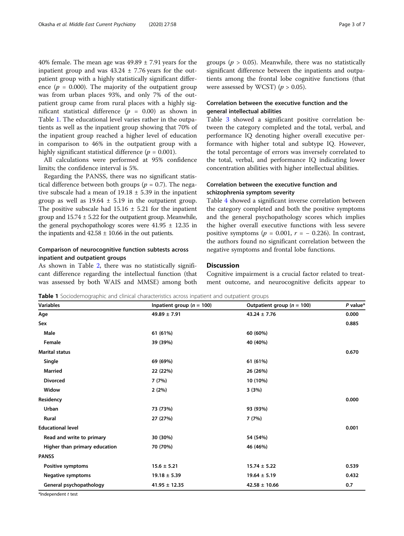40% female. The mean age was  $49.89 \pm 7.91$  years for the inpatient group and was  $43.24 \pm 7.76$  years for the outpatient group with a highly statistically significant difference ( $p = 0.000$ ). The majority of the outpatient group was from urban places 93%, and only 7% of the outpatient group came from rural places with a highly significant statistical difference ( $p = 0.00$ ) as shown in Table 1. The educational level varies rather in the outpatients as well as the inpatient group showing that 70% of the inpatient group reached a higher level of education in comparison to 46% in the outpatient group with a highly significant statistical difference ( $p = 0.001$ ).

All calculations were performed at 95% confidence limits; the confidence interval is 5%.

Regarding the PANSS, there was no significant statistical difference between both groups ( $p = 0.7$ ). The negative subscale had a mean of  $19.18 \pm 5.39$  in the inpatient group as well as  $19.64 \pm 5.19$  in the outpatient group. The positive subscale had  $15.16 \pm 5.21$  for the inpatient group and  $15.74 \pm 5.22$  for the outpatient group. Meanwhile, the general psychopathology scores were  $41.95 \pm 12.35$  in the inpatients and  $42.58 \pm 10.66$  in the out patients.

## Comparison of neurocognitive function subtests across inpatient and outpatient groups

As shown in Table [2](#page-3-0), there was no statistically significant difference regarding the intellectual function (that was assessed by both WAIS and MMSE) among both

## Correlation between the executive function and the general intellectual abilities

Table [3](#page-3-0) showed a significant positive correlation between the category completed and the total, verbal, and performance IQ denoting higher overall executive performance with higher total and subtype IQ. However, the total percentage of errors was inversely correlated to the total, verbal, and performance IQ indicating lower concentration abilities with higher intellectual abilities.

## Correlation between the executive function and schizophrenia symptom severity

Table [4](#page-4-0) showed a significant inverse correlation between the category completed and both the positive symptoms and the general psychopathology scores which implies the higher overall executive functions with less severe positive symptoms ( $p = 0.001$ ,  $r = -0.226$ ). In contrast, the authors found no significant correlation between the negative symptoms and frontal lobe functions.

### **Discussion**

Cognitive impairment is a crucial factor related to treatment outcome, and neurocognitive deficits appear to

**Table 1** Sociodemographic and clinical characteristics across inpatient and outpatient groups

| <b>Variables</b>              | Inpatient group ( $n = 100$ ) | Outpatient group ( $n = 100$ ) | $P$ value* |
|-------------------------------|-------------------------------|--------------------------------|------------|
| Age                           | $49.89 \pm 7.91$              | $43.24 \pm 7.76$               | 0.000      |
| Sex                           |                               |                                | 0.885      |
| Male                          | 61 (61%)                      | 60 (60%)                       |            |
| Female                        | 39 (39%)                      | 40 (40%)                       |            |
| <b>Marital status</b>         |                               |                                | 0.670      |
| Single                        | 69 (69%)                      | 61 (61%)                       |            |
| <b>Married</b>                | 22 (22%)                      | 26 (26%)                       |            |
| <b>Divorced</b>               | 7 (7%)                        | 10 (10%)                       |            |
| Widow                         | 2(2%)                         | 3(3%)                          |            |
| Residency                     |                               |                                | 0.000      |
| Urban                         | 73 (73%)                      | 93 (93%)                       |            |
| Rural                         | 27 (27%)                      | 7(7%)                          |            |
| <b>Educational level</b>      |                               |                                | 0.001      |
| Read and write to primary     | 30 (30%)                      | 54 (54%)                       |            |
| Higher than primary education | 70 (70%)                      | 46 (46%)                       |            |
| <b>PANSS</b>                  |                               |                                |            |
| Positive symptoms             | $15.6 \pm 5.21$               | $15.74 \pm 5.22$               | 0.539      |
| <b>Negative symptoms</b>      | $19.18 \pm 5.39$              | $19.64 \pm 5.19$               | 0.432      |
| General psychopathology       | $41.95 \pm 12.35$             | $42.58 \pm 10.66$              | 0.7        |

\*Independent t test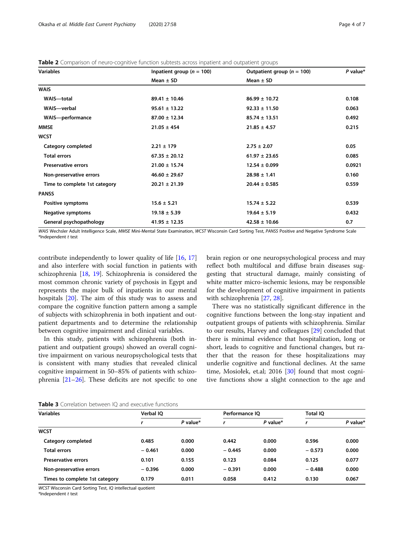#### <span id="page-3-0"></span>Table 2 Comparison of neuro-cognitive function subtests across inpatient and outpatient groups

| <b>Variables</b>              | Inpatient group ( $n = 100$ ) | Outpatient group ( $n = 100$ ) | $P$ value* |  |
|-------------------------------|-------------------------------|--------------------------------|------------|--|
|                               | Mean $\pm$ SD                 | Mean $\pm$ SD                  |            |  |
| <b>WAIS</b>                   |                               |                                |            |  |
| WAIS-total                    | $89.41 \pm 10.46$             | $86.99 \pm 10.72$              | 0.108      |  |
| WAIS-verbal                   | $95.61 \pm 13.22$             | $92.33 \pm 11.50$              | 0.063      |  |
| WAIS-performance              | $87.00 \pm 12.34$             | $85.74 \pm 13.51$              | 0.492      |  |
| <b>MMSE</b>                   | $21.05 \pm 454$               | $21.85 \pm 4.57$               | 0.215      |  |
| <b>WCST</b>                   |                               |                                |            |  |
| Category completed            | $2.21 \pm 179$                | $2.75 \pm 2.07$                | 0.05       |  |
| <b>Total errors</b>           | $67.35 \pm 20.12$             | $61.97 \pm 23.65$              | 0.085      |  |
| <b>Preservative errors</b>    | $21.00 \pm 15.74$             | $12.54 \pm 0.099$              | 0.0921     |  |
| Non-preservative errors       | $46.60 \pm 29.67$             | $28.98 \pm 1.41$               | 0.160      |  |
| Time to complete 1st category | $20.21 \pm 21.39$             | $20.44 \pm 0.585$              | 0.559      |  |
| <b>PANSS</b>                  |                               |                                |            |  |
| Positive symptoms             | $15.6 \pm 5.21$               | $15.74 \pm 5.22$               | 0.539      |  |
| <b>Negative symptoms</b>      | $19.18 \pm 5.39$              | $19.64 \pm 5.19$               | 0.432      |  |
| General psychopathology       | $41.95 \pm 12.35$             | $42.58 \pm 10.66$              | 0.7        |  |

WAIS Wechsler Adult Intelligence Scale, MMSE Mini-Mental State Examination, WCST Wisconsin Card Sorting Test, PANSS Positive and Negative Syndrome Scale \*Independent t test

contribute independently to lower quality of life [\[16](#page-5-0), [17](#page-5-0)] and also interfere with social function in patients with schizophrenia [[18](#page-5-0), [19\]](#page-5-0). Schizophrenia is considered the most common chronic variety of psychosis in Egypt and represents the major bulk of inpatients in our mental hospitals [[20\]](#page-5-0). The aim of this study was to assess and compare the cognitive function pattern among a sample of subjects with schizophrenia in both inpatient and outpatient departments and to determine the relationship between cognitive impairment and clinical variables.

In this study, patients with schizophrenia (both inpatient and outpatient groups) showed an overall cognitive impairment on various neuropsychological tests that is consistent with many studies that revealed clinical cognitive impairment in 50–85% of patients with schizophrenia [\[21](#page-6-0)–[26\]](#page-6-0). These deficits are not specific to one brain region or one neuropsychological process and may reflect both multifocal and diffuse brain diseases suggesting that structural damage, mainly consisting of white matter micro-ischemic lesions, may be responsible for the development of cognitive impairment in patients with schizophrenia [\[27,](#page-6-0) [28\]](#page-6-0).

There was no statistically significant difference in the cognitive functions between the long-stay inpatient and outpatient groups of patients with schizophrenia. Similar to our results, Harvey and colleagues [[29\]](#page-6-0) concluded that there is minimal evidence that hospitalization, long or short, leads to cognitive and functional changes, but rather that the reason for these hospitalizations may underlie cognitive and functional declines. At the same time, Mosiołek, et.al; 2016 [\[30\]](#page-6-0) found that most cognitive functions show a slight connection to the age and

| Table 3 Correlation between IQ and executive functions |
|--------------------------------------------------------|
|--------------------------------------------------------|

| <b>Variables</b>               | Verbal IO |            |          | Performance IO |          | Total IO   |  |
|--------------------------------|-----------|------------|----------|----------------|----------|------------|--|
|                                |           | $P$ value* |          | $P$ value*     |          | $P$ value* |  |
| <b>WCST</b>                    |           |            |          |                |          |            |  |
| Category completed             | 0.485     | 0.000      | 0.442    | 0.000          | 0.596    | 0.000      |  |
| <b>Total errors</b>            | $-0.461$  | 0.000      | $-0.445$ | 0.000          | $-0.573$ | 0.000      |  |
| <b>Preservative errors</b>     | 0.101     | 0.155      | 0.123    | 0.084          | 0.125    | 0.077      |  |
| Non-preservative errors        | $-0.396$  | 0.000      | $-0.391$ | 0.000          | $-0.488$ | 0.000      |  |
| Times to complete 1st category | 0.179     | 0.011      | 0.058    | 0.412          | 0.130    | 0.067      |  |

WCST Wisconsin Card Sorting Test, IQ intellectual quotient

\*Independent t test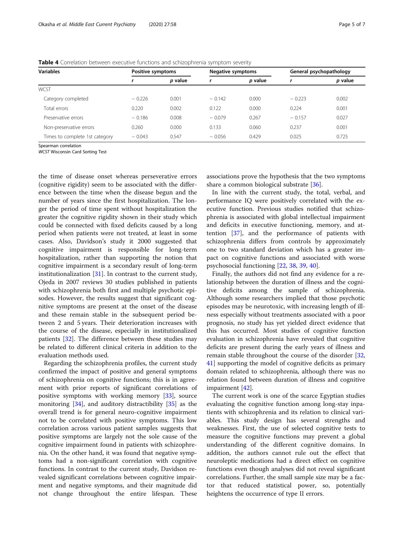| <b>Variables</b>               |          | Positive symptoms |          | <b>Negative symptoms</b> |          | General psychopathology |  |
|--------------------------------|----------|-------------------|----------|--------------------------|----------|-------------------------|--|
|                                |          | <i>p</i> value    |          | p value                  |          | p value                 |  |
| WCST                           |          |                   |          |                          |          |                         |  |
| Category completed             | $-0.226$ | 0.001             | $-0.142$ | 0.000                    | $-0.223$ | 0.002                   |  |
| Total errors                   | 0.220    | 0.002             | 0.122    | 0.000                    | 0.224    | 0.001                   |  |
| Preservative errors            | $-0.186$ | 0.008             | $-0.079$ | 0.267                    | $-0.157$ | 0.027                   |  |
| Non-preservative errors        | 0.260    | 0.000             | 0.133    | 0.060                    | 0.237    | 0.001                   |  |
| Times to complete 1st category | $-0.043$ | 0.547             | $-0.056$ | 0.429                    | 0.025    | 0.725                   |  |

<span id="page-4-0"></span>Table 4 Correlation between executive functions and schizophrenia symptom severity

Spearman correlation

WCST Wisconsin Card Sorting Test

the time of disease onset whereas perseverative errors (cognitive rigidity) seem to be associated with the difference between the time when the disease begun and the number of years since the first hospitalization. The longer the period of time spent without hospitalization the greater the cognitive rigidity shown in their study which could be connected with fixed deficits caused by a long period when patients were not treated, at least in some cases. Also, Davidson's study it 2000 suggested that cognitive impairment is responsible for long-term hospitalization, rather than supporting the notion that cognitive impairment is a secondary result of long-term institutionalization [[31](#page-6-0)]. In contrast to the current study, Ojeda in 2007 reviews 30 studies published in patients with schizophrenia both first and multiple psychotic episodes. However, the results suggest that significant cognitive symptoms are present at the onset of the disease and these remain stable in the subsequent period between 2 and 5 years. Their deterioration increases with the course of the disease, especially in institutionalized patients [[32\]](#page-6-0). The difference between these studies may be related to different clinical criteria in addition to the evaluation methods used.

Regarding the schizophrenia profiles, the current study confirmed the impact of positive and general symptoms of schizophrenia on cognitive functions; this is in agreement with prior reports of significant correlations of positive symptoms with working memory [[33](#page-6-0)], source monitoring [\[34\]](#page-6-0), and auditory distractibility [[35\]](#page-6-0) as the overall trend is for general neuro-cognitive impairment not to be correlated with positive symptoms. This low correlation across various patient samples suggests that positive symptoms are largely not the sole cause of the cognitive impairment found in patients with schizophrenia. On the other hand, it was found that negative symptoms had a non-significant correlation with cognitive functions. In contrast to the current study, Davidson revealed significant correlations between cognitive impairment and negative symptoms, and their magnitude did not change throughout the entire lifespan. These

associations prove the hypothesis that the two symptoms share a common biological substrate [[36\]](#page-6-0).

In line with the current study, the total, verbal, and performance IQ were positively correlated with the executive function. Previous studies notified that schizophrenia is associated with global intellectual impairment and deficits in executive functioning, memory, and attention [\[37\]](#page-6-0), and the performance of patients with schizophrenia differs from controls by approximately one to two standard deviation which has a greater impact on cognitive functions and associated with worse psychosocial functioning [[22,](#page-6-0) [38](#page-6-0), [39](#page-6-0), [40](#page-6-0)].

Finally, the authors did not find any evidence for a relationship between the duration of illness and the cognitive deficits among the sample of schizophrenia. Although some researchers implied that those psychotic episodes may be neurotoxic, with increasing length of illness especially without treatments associated with a poor prognosis, no study has yet yielded direct evidence that this has occurred. Most studies of cognitive function evaluation in schizophrenia have revealed that cognitive deficits are present during the early years of illness and remain stable throughout the course of the disorder [[32](#page-6-0), [41\]](#page-6-0) supporting the model of cognitive deficits as primary domain related to schizophrenia, although there was no relation found between duration of illness and cognitive impairment [[42](#page-6-0)].

The current work is one of the scarce Egyptian studies evaluating the cognitive function among long-stay inpatients with schizophrenia and its relation to clinical variables. This study design has several strengths and weaknesses. First, the use of selected cognitive tests to measure the cognitive functions may prevent a global understanding of the different cognitive domains. In addition, the authors cannot rule out the effect that neuroleptic medications had a direct effect on cognitive functions even though analyses did not reveal significant correlations. Further, the small sample size may be a factor that reduced statistical power, so, potentially heightens the occurrence of type II errors.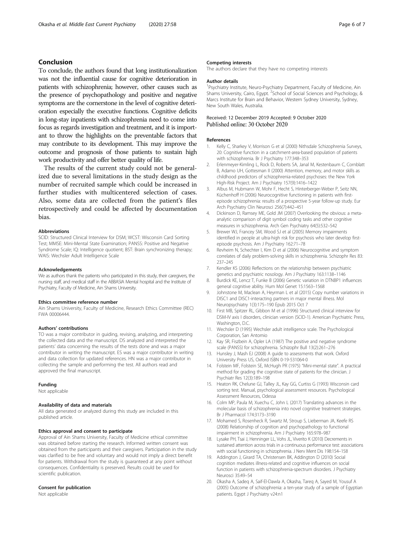## <span id="page-5-0"></span>Conclusion

To conclude, the authors found that long institutionalization was not the influential cause for cognitive deterioration in patients with schizophrenia; however, other causes such as the presence of psychopathology and positive and negative symptoms are the cornerstone in the level of cognitive deterioration especially the executive functions. Cognitive deficits in long-stay inpatients with schizophrenia need to come into focus as regards investigation and treatment, and it is important to throw the highlights on the preventable factors that may contribute to its development. This may improve the outcome and prognosis of those patients to sustain high work productivity and offer better quality of life.

The results of the current study could not be generalized due to several limitations in the study design as the number of recruited sample which could be increased in further studies with multicentered selection of cases. Also, some data are collected from the patient's files retrospectively and could be affected by documentation bias.

#### Abbreviations

SCID: Structured Clinical Interview for DSM; WCST: Wisconsin Card Sorting Test; MMSE: Mini-Mental State Examination; PANSS: Positive and Negative Syndrome Scale; IQ: Intelligence quotient; BST: Brain synchronizing therapy; WAIS: Wechsler Adult Intelligence Scale

#### Acknowledgements

We as authors thank the patients who participated in this study, their caregivers, the nursing staff, and medical staff in the ABBASIA Mental hospital and the Institute of Psychiatry, Faculty of Medicine, Ain Shams University.

#### Ethics committee reference number

Ain Shams University, Faculty of Medicine, Research Ethics Committee (REC) FWA 00006444.

#### Authors' contributions

TO was a major contributor in guiding, revising, analyzing, and interpreting the collected data and the manuscript. DS analyzed and interpreted the patients' data concerning the results of the tests done and was a major contributor in writing the manuscript. ES was a major contributor in writing and data collection for updated references. HN was a major contributor in collecting the sample and performing the test. All authors read and approved the final manuscript.

#### Funding

Not applicable

#### Availability of data and materials

All data generated or analyzed during this study are included in this published article.

#### Ethics approval and consent to participate

Approval of Ain Shams University, Faculty of Medicine ethical committee was obtained before starting the research. Informed written consent was obtained from the participants and their caregivers. Participation in the study was clarified to be free and voluntary and would not imply a direct benefit for patients. Withdrawal from the study is guaranteed at any point without consequences. Confidentiality is preserved. Results could be used for scientific publication.

#### Consent for publication

Not applicable

#### Competing interests

The authors declare that they have no competing interests

#### Author details

<sup>1</sup>Psychiatry Institute, Neuro-Psychiatry Department, Faculty of Medicine, Ain Shams University, Cairo, Egypt. <sup>2</sup>School of Social Sciences and Psychology, 8 Marcs Institute for Brain and Behavior, Western Sydney University, Sydney, New South Wales, Australia.

# Received: 12 December 2019 Accepted: 9 October 2020

#### References

- Kelly C, Sharkey V, Morrison G et al (2000) Nithsdale Schizophrenia Surveys, 20: Cognitive function in a catchment-area-based population of patients with schizophrenia. Br J Psychiatry 177:348–353
- 2. Erlenmeyer-Kimling L, Rock D, Roberts SA, Janal M, Kestenbaum C, Cornblatt B, Adamo UH, Gottesman II (2000) Attention, memory, and motor skills as childhood predictors of schizophrenia-related psychoses: the New York High-Risk Project. Am J Psychiatry 157(9):1416–1422
- 3. Albus M, Hubmann W, Mohr F, Hecht S, Hinterberger-Weber P, Seitz NN, Küchenhoff H (2006) Neurocognitive functioning in patients with firstepisode schizophrenia: results of a prospective 5-year follow-up study. Eur Arch Psychiatry Clin Neurosci 256(7):442–451
- 4. Dickinson D, Ramsey ME, Gold JM (2007) Overlooking the obvious: a metaanalytic comparison of digit symbol coding tasks and other cognitive measures in schizophrenia. Arch Gen Psychiatry 64(5):532–542
- 5. Brewer WJ, Francey SM, Wood SJ et al (2005) Memory impairments identified in people at ultra-high risk for psychosis who later develop firstepisode psychosis. Am J Psychiatry 162:71–78
- 6. Revheim N, Schechter I, Kim D et al (2006) Neurocognitive and symptom correlates of daily problem-solving skills in schizophrenia. Schizophr Res 83: 237–245
- 7. Kendler KS (2006) Reflections on the relationship between psychiatric genetics and psychiatric nosology. Am J Psychiatry 163:1138–1146
- 8. Burdick KE, Lencz T, Funke B (2006) Genetic variation in DTNBP1 influences general cognitive ability. Hum Mol Genet 15:1563–1568
- 9. Johnstone M, Maclean A, Heyrman L et al (2015) Copy number variations in DISC1 and DISC1-interacting partners in major mental illness. Mol Neuropsychiatry 1(3):175–190 Epub 2015 Oct 7
- 10. First MB, Spitzer RL, Gibbon M et al (1996) Structured clinical interview for DSM-IV axis I disorders, clinician version (SCID-1). American Psychiatric Press, Washington, D.C.
- 11. Wechsler D (1995) Wechsler adult intelligence scale. The Psychological Corporation, San Antomio
- 12. Kay SR, Fiszbein A, Opler LA (1987) The positive and negative syndrome scale (PANSS) for schizophrenia. Schizophr Bull 13(2):261–276
- 13. Hunsley J, Mash EJ (2008) A guide to assessments that work. Oxford University Press US, Oxford ISBN 0-19-531064-0
- 14. Folstein MF, Folstein SE, McHugh PR (1975) "Mini-mental state". A practical method for grading the cognitive state of patients for the clinician. J Psychiatr Res 12(3):189–198
- 15. Heaton RK, Chelune GJ, Talley JL, Kay GG, Curtiss G (1993) Wisconsin card sorting test. Manual, psychological assessment resources. Psychological Assessment Resources, Odessa
- 16. Colm MP, Paula M, Xuechu C, John L (2017) Translating advances in the molecular basis of schizophrenia into novel cognitive treatment strategies. Br J Pharmacol 174:3173–3190
- 17. Mohamed S, Rosenheck R, Swartz M, Stroup S, Lieberman JA, Keefe RS (2008) Relationship of cognition and psychopathology to functional impairment in schizophrenia. Am J Psychiatry 165:978–987
- 18. Lysake PH, Tsai J, Henninger LL, Vohs JL, Viverito K (2010) Decrements in sustained attention across trials in a continuous performance test: associations with social functioning in schizophrenia. J Nerv Ment Dis 198:154–158
- 19. Addington J, Girard TA, Christensen BK, Addington D (2010) Social cognition mediates illness-related and cognitive influences on social function in patients with schizophrenia-spectrum disorders. J Psychiatry Neurosci 35:49–54
- 20. Okasha A, Sadeq A, Saif-El-Dawla A, Okasha, Tareq A, Sayed M, Yousuf A (2005) Outcome of schizophrenia: a ten-year study of a sample of Egyptian patients. Egypt J Psychiatry v24:n1